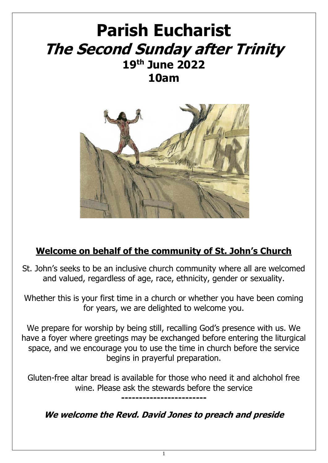# **Parish Eucharist The Second Sunday after Trinity 19 th June 2022 10am**



# **Welcome on behalf of the community of St. John's Church**

St. John's seeks to be an inclusive church community where all are welcomed and valued, regardless of age, race, ethnicity, gender or sexuality.

Whether this is your first time in a church or whether you have been coming for years, we are delighted to welcome you.

We prepare for worship by being still, recalling God's presence with us. We have a foyer where greetings may be exchanged before entering the liturgical space, and we encourage you to use the time in church before the service begins in prayerful preparation.

Gluten-free altar bread is available for those who need it and alchohol free wine. Please ask the stewards before the service

**------------------------**

**We welcome the Revd. David Jones to preach and preside**

1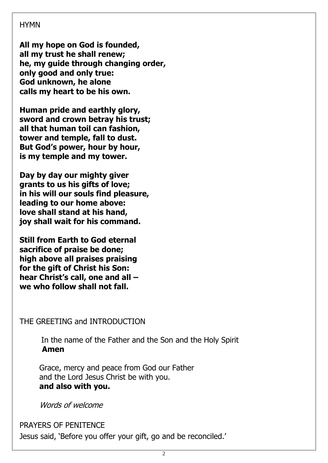#### HYMN

**All my hope on God is founded, all my trust he shall renew; he, my guide through changing order, only good and only true: God unknown, he alone calls my heart to be his own.**

**Human pride and earthly glory, sword and crown betray his trust; all that human toil can fashion, tower and temple, fall to dust. But God's power, hour by hour, is my temple and my tower.**

**Day by day our mighty giver grants to us his gifts of love; in his will our souls find pleasure, leading to our home above: love shall stand at his hand, joy shall wait for his command.**

**Still from Earth to God eternal sacrifice of praise be done; high above all praises praising for the gift of Christ his Son: hear Christ's call, one and all – we who follow shall not fall.**

THE GREETING and INTRODUCTION

 In the name of the Father and the Son and the Holy Spirit  **Amen**

Grace, mercy and peace from God our Father and the Lord Jesus Christ be with you. **and also with you.**

Words of welcome

PRAYERS OF PENITENCE Jesus said, 'Before you offer your gift, go and be reconciled.'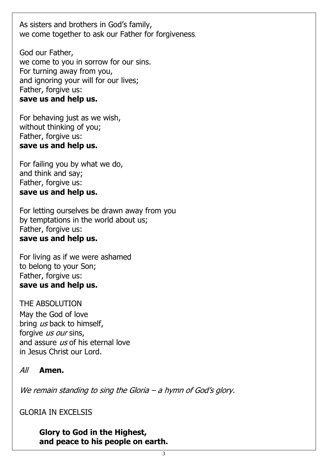As sisters and brothers in God's family, we come together to ask our Father for forgiveness.

God our Father, we come to you in sorrow for our sins. For turning away from you, and ignoring your will for our lives; Father, forgive us: **save us and help us.**

For behaving just as we wish, without thinking of you; Father, forgive us: **save us and help us.**

For failing you by what we do, and think and say; Father, forgive us: **save us and help us.**

For letting ourselves be drawn away from you by temptations in the world about us; Father, forgive us: **save us and help us.**

For living as if we were ashamed to belong to your Son; Father, forgive us: **save us and help us.**

#### THE ABSOLUTION

May the God of love bring us back to himself, forgive *us our* sins, and assure us of his eternal love in Jesus Christ our Lord.

### All **Amen.**

We remain standing to sing the Gloria – a hymn of God's glory.

GLORIA IN EXCELSIS

**Glory to God in the Highest, and peace to his people on earth.**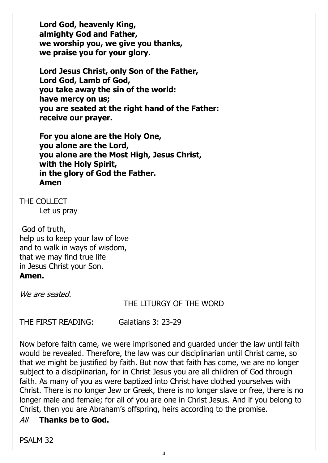**Lord God, heavenly King, almighty God and Father, we worship you, we give you thanks, we praise you for your glory.**

**Lord Jesus Christ, only Son of the Father, Lord God, Lamb of God, you take away the sin of the world: have mercy on us; you are seated at the right hand of the Father: receive our prayer.**

**For you alone are the Holy One, you alone are the Lord, you alone are the Most High, Jesus Christ, with the Holy Spirit, in the glory of God the Father. Amen**

THE COLLECT Let us pray

God of truth, help us to keep your law of love and to walk in ways of wisdom, that we may find true life in Jesus Christ your Son. **Amen.**

We are seated.

THE LITURGY OF THE WORD

THE FIRST READING: Galatians 3: 23-29

Now before faith came, we were imprisoned and guarded under the law until faith would be revealed. Therefore, the law was our disciplinarian until Christ came, so that we might be justified by faith. But now that faith has come, we are no longer subject to a disciplinarian, for in Christ Jesus you are all children of God through faith. As many of you as were baptized into Christ have clothed yourselves with Christ. There is no longer Jew or Greek, there is no longer slave or free, there is no longer male and female; for all of you are one in Christ Jesus. And if you belong to Christ, then you are Abraham's offspring, heirs according to the promise.

### All **Thanks be to God.**

PSALM 32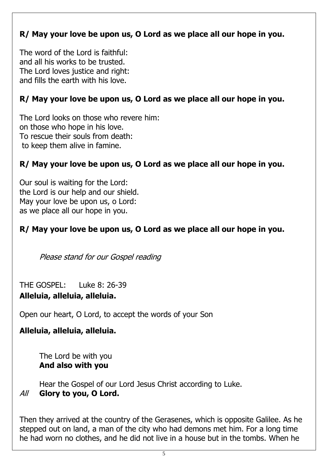# **R/ May your love be upon us, O Lord as we place all our hope in you.**

The word of the Lord is faithful: and all his works to be trusted. The Lord loves justice and right: and fills the earth with his love.

# **R/ May your love be upon us, O Lord as we place all our hope in you.**

The Lord looks on those who revere him: on those who hope in his love. To rescue their souls from death: to keep them alive in famine.

## **R/ May your love be upon us, O Lord as we place all our hope in you.**

Our soul is waiting for the Lord: the Lord is our help and our shield. May your love be upon us, o Lord: as we place all our hope in you.

## **R/ May your love be upon us, O Lord as we place all our hope in you.**

Please stand for our Gospel reading

THE GOSPEL: Luke 8: 26-39

### **Alleluia, alleluia, alleluia.**

Open our heart, O Lord, to accept the words of your Son

### **Alleluia, alleluia, alleluia.**

The Lord be with you **And also with you**

Hear the Gospel of our Lord Jesus Christ according to Luke.

## All **Glory to you, O Lord.**

Then they arrived at the country of the Gerasenes, which is opposite Galilee. As he stepped out on land, a man of the city who had demons met him. For a long time he had worn no clothes, and he did not live in a house but in the tombs. When he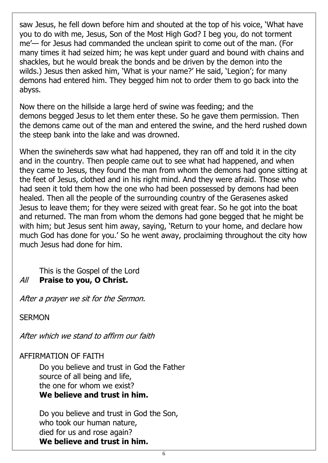saw Jesus, he fell down before him and shouted at the top of his voice, 'What have you to do with me, Jesus, Son of the Most High God? I beg you, do not torment me'— for Jesus had commanded the unclean spirit to come out of the man. (For many times it had seized him; he was kept under guard and bound with chains and shackles, but he would break the bonds and be driven by the demon into the wilds.) Jesus then asked him, 'What is your name?' He said, 'Legion'; for many demons had entered him. They begged him not to order them to go back into the abyss.

Now there on the hillside a large herd of swine was feeding; and the demons begged Jesus to let them enter these. So he gave them permission. Then the demons came out of the man and entered the swine, and the herd rushed down the steep bank into the lake and was drowned.

When the swineherds saw what had happened, they ran off and told it in the city and in the country. Then people came out to see what had happened, and when they came to Jesus, they found the man from whom the demons had gone sitting at the feet of Jesus, clothed and in his right mind. And they were afraid. Those who had seen it told them how the one who had been possessed by demons had been healed. Then all the people of the surrounding country of the Gerasenes asked Jesus to leave them; for they were seized with great fear. So he got into the boat and returned. The man from whom the demons had gone begged that he might be with him; but Jesus sent him away, saying, 'Return to your home, and declare how much God has done for you.' So he went away, proclaiming throughout the city how much Jesus had done for him.

This is the Gospel of the Lord

# All **Praise to you, O Christ.**

After a prayer we sit for the Sermon.

**SERMON** 

After which we stand to affirm our faith

### AFFIRMATION OF FAITH

Do you believe and trust in God the Father source of all being and life, the one for whom we exist? **We believe and trust in him.**

Do you believe and trust in God the Son, who took our human nature, died for us and rose again? **We believe and trust in him.**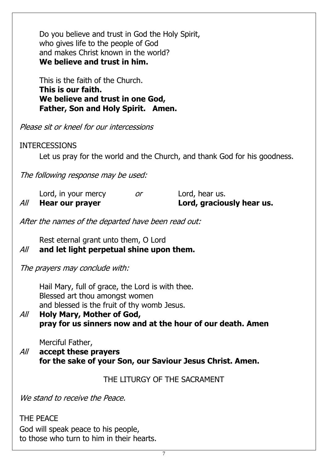Do you believe and trust in God the Holy Spirit, who gives life to the people of God and makes Christ known in the world? **We believe and trust in him.**

This is the faith of the Church. **This is our faith. We believe and trust in one God, Father, Son and Holy Spirit. Amen.**

Please sit or kneel for our intercessions

#### INTERCESSIONS

Let us pray for the world and the Church, and thank God for his goodness.

The following response may be used:

| All | Hear our prayer     |           | Lord, graciously hear us. |
|-----|---------------------|-----------|---------------------------|
|     | Lord, in your mercy | <i>or</i> | Lord, hear us.            |

After the names of the departed have been read out:

Rest eternal grant unto them, O Lord

# All **and let light perpetual shine upon them.**

The prayers may conclude with:

Hail Mary, full of grace, the Lord is with thee. Blessed art thou amongst women and blessed is the fruit of thy womb Jesus.

## All **Holy Mary, Mother of God, pray for us sinners now and at the hour of our death. Amen**

Merciful Father,

All **accept these prayers for the sake of your Son, our Saviour Jesus Christ. Amen.**

# THE LITURGY OF THE SACRAMENT

We stand to receive the Peace.

## THE PEACE God will speak peace to his people, to those who turn to him in their hearts.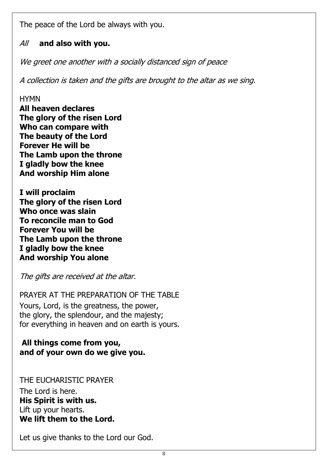The peace of the Lord be always with you.

## All **and also with you.**

We greet one another with a socially distanced sign of peace

A collection is taken and the gifts are brought to the altar as we sing.

#### HYMN

**All heaven declares The glory of the risen Lord Who can compare with The beauty of the Lord Forever He will be The Lamb upon the throne I gladly bow the knee And worship Him alone**

**I will proclaim The glory of the risen Lord Who once was slain To reconcile man to God Forever You will be The Lamb upon the throne I gladly bow the knee And worship You alone**

The gifts are received at the altar.

PRAYER AT THE PREPARATION OF THE TABLE Yours, Lord, is the greatness, the power, the glory, the splendour, and the majesty; for everything in heaven and on earth is yours.

### **All things come from you, and of your own do we give you.**

THE EUCHARISTIC PRAYER The Lord is here. **His Spirit is with us.** Lift up your hearts. **We lift them to the Lord.**

Let us give thanks to the Lord our God.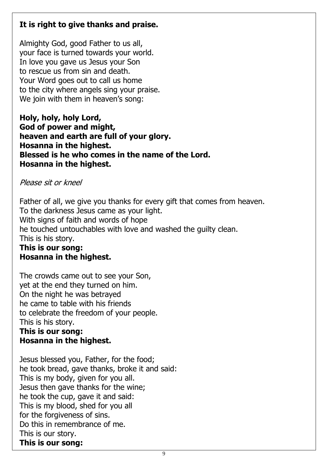# **It is right to give thanks and praise.**

Almighty God, good Father to us all, your face is turned towards your world. In love you gave us Jesus your Son to rescue us from sin and death. Your Word goes out to call us home to the city where angels sing your praise. We join with them in heaven's song:

**Holy, holy, holy Lord, God of power and might, heaven and earth are full of your glory. Hosanna in the highest. Blessed is he who comes in the name of the Lord. Hosanna in the highest.**

Please sit or kneel

Father of all, we give you thanks for every gift that comes from heaven. To the darkness Jesus came as your light. With signs of faith and words of hope he touched untouchables with love and washed the guilty clean. This is his story.

#### **This is our song: Hosanna in the highest.**

The crowds came out to see your Son, yet at the end they turned on him. On the night he was betrayed he came to table with his friends to celebrate the freedom of your people. This is his story.

## **This is our song: Hosanna in the highest.**

Jesus blessed you, Father, for the food; he took bread, gave thanks, broke it and said: This is my body, given for you all. Jesus then gave thanks for the wine; he took the cup, gave it and said: This is my blood, shed for you all for the forgiveness of sins. Do this in remembrance of me. This is our story. **This is our song:**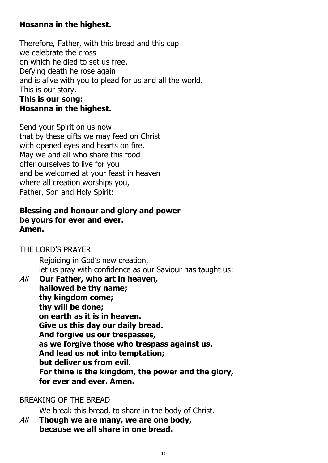## **Hosanna in the highest.**

Therefore, Father, with this bread and this cup we celebrate the cross on which he died to set us free. Defying death he rose again and is alive with you to plead for us and all the world. This is our story. **This is our song:**

# **Hosanna in the highest.**

Send your Spirit on us now that by these gifts we may feed on Christ with opened eyes and hearts on fire. May we and all who share this food offer ourselves to live for you and be welcomed at your feast in heaven where all creation worships you, Father, Son and Holy Spirit:

#### **Blessing and honour and glory and power be yours for ever and ever. Amen.**

THE LORD'S PRAYER

 Rejoicing in God's new creation, let us pray with confidence as our Saviour has taught us:

All **Our Father, who art in heaven, hallowed be thy name; thy kingdom come; thy will be done; on earth as it is in heaven. Give us this day our daily bread. And forgive us our trespasses, as we forgive those who trespass against us. And lead us not into temptation; but deliver us from evil. For thine is the kingdom, the power and the glory, for ever and ever. Amen.**

### BREAKING OF THE BREAD

We break this bread, to share in the body of Christ.

All **Though we are many, we are one body, because we all share in one bread.**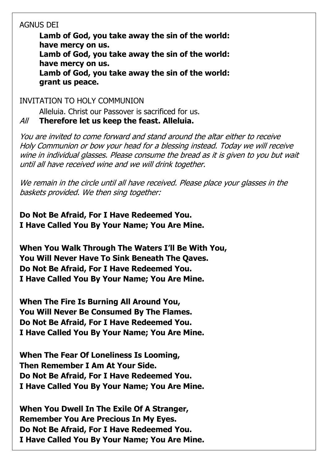#### AGNUS DEI

**Lamb of God, you take away the sin of the world: have mercy on us. Lamb of God, you take away the sin of the world: have mercy on us. Lamb of God, you take away the sin of the world: grant us peace.**

#### INVITATION TO HOLY COMMUNION

Alleluia. Christ our Passover is sacrificed for us.

All **Therefore let us keep the feast. Alleluia.**

You are invited to come forward and stand around the altar either to receive Holy Communion or bow your head for a blessing instead. Today we will receive wine in individual glasses. Please consume the bread as it is given to you but wait until all have received wine and we will drink together.

We remain in the circle until all have received. Please place your glasses in the baskets provided. We then sing together:

**Do Not Be Afraid, For I Have Redeemed You. I Have Called You By Your Name; You Are Mine.**

**When You Walk Through The Waters I'll Be With You, You Will Never Have To Sink Beneath The Qaves. Do Not Be Afraid, For I Have Redeemed You. I Have Called You By Your Name; You Are Mine.**

**When The Fire Is Burning All Around You, You Will Never Be Consumed By The Flames. Do Not Be Afraid, For I Have Redeemed You. I Have Called You By Your Name; You Are Mine.**

**When The Fear Of Loneliness Is Looming, Then Remember I Am At Your Side. Do Not Be Afraid, For I Have Redeemed You. I Have Called You By Your Name; You Are Mine.**

**When You Dwell In The Exile Of A Stranger, Remember You Are Precious In My Eyes. Do Not Be Afraid, For I Have Redeemed You. I Have Called You By Your Name; You Are Mine.**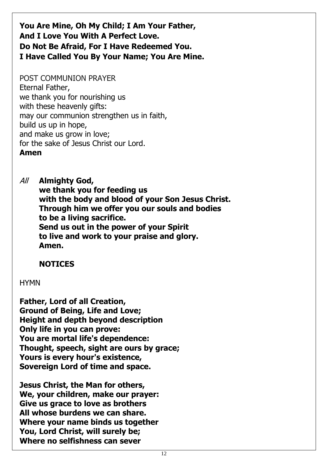**You Are Mine, Oh My Child; I Am Your Father, And I Love You With A Perfect Love. Do Not Be Afraid, For I Have Redeemed You. I Have Called You By Your Name; You Are Mine.**

POST COMMUNION PRAYER Eternal Father, we thank you for nourishing us with these heavenly gifts: may our communion strengthen us in faith, build us up in hope, and make us grow in love; for the sake of Jesus Christ our Lord. **Amen**

All **Almighty God, we thank you for feeding us with the body and blood of your Son Jesus Christ. Through him we offer you our souls and bodies to be a living sacrifice. Send us out in the power of your Spirit to live and work to your praise and glory. Amen.**

### **NOTICES**

HYMN

**Father, Lord of all Creation, Ground of Being, Life and Love; Height and depth beyond description Only life in you can prove: You are mortal life's dependence: Thought, speech, sight are ours by grace; Yours is every hour's existence, Sovereign Lord of time and space.**

**Jesus Christ, the Man for others, We, your children, make our prayer: Give us grace to love as brothers All whose burdens we can share. Where your name binds us together You, Lord Christ, will surely be; Where no selfishness can sever**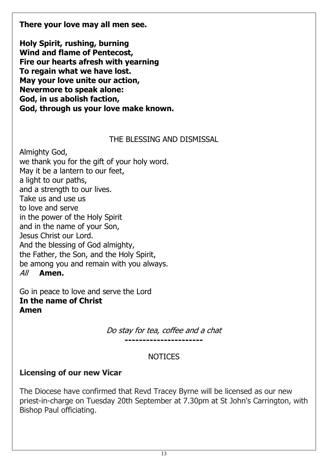**There your love may all men see.**

**Holy Spirit, rushing, burning Wind and flame of Pentecost, Fire our hearts afresh with yearning To regain what we have lost. May your love unite our action, Nevermore to speak alone: God, in us abolish faction, God, through us your love make known.**

### THE BLESSING AND DISMISSAL

Almighty God, we thank you for the gift of your holy word. May it be a lantern to our feet, a light to our paths, and a strength to our lives. Take us and use us to love and serve in the power of the Holy Spirit and in the name of your Son, Jesus Christ our Lord. And the blessing of God almighty, the Father, the Son, and the Holy Spirit, be among you and remain with you always. All **Amen.**

Go in peace to love and serve the Lord **In the name of Christ Amen**

> Do stay for tea, coffee and a chat **----------------------**

### **NOTICES**

# **Licensing of our new Vicar**

The Diocese have confirmed that Revd Tracey Byrne will be licensed as our new priest-in-charge on Tuesday 20th September at 7.30pm at St John's Carrington, with Bishop Paul officiating.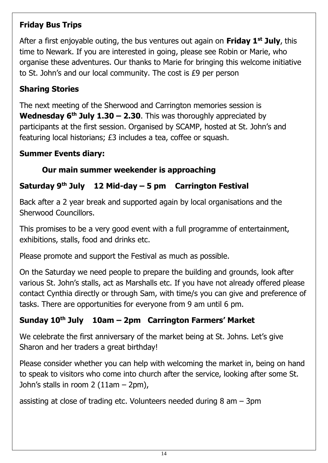# **Friday Bus Trips**

After a first enjoyable outing, the bus ventures out again on **Friday 1st July**, this time to Newark. If you are interested in going, please see Robin or Marie, who organise these adventures. Our thanks to Marie for bringing this welcome initiative to St. John's and our local community. The cost is £9 per person

# **Sharing Stories**

The next meeting of the Sherwood and Carrington memories session is **Wednesday 6th July 1.30 – 2.30**. This was thoroughly appreciated by participants at the first session. Organised by SCAMP, hosted at St. John's and featuring local historians; £3 includes a tea, coffee or squash.

# **Summer Events diary:**

# **Our main summer weekender is approaching**

# **Saturday 9th July 12 Mid-day – 5 pm Carrington Festival**

Back after a 2 year break and supported again by local organisations and the Sherwood Councillors.

This promises to be a very good event with a full programme of entertainment, exhibitions, stalls, food and drinks etc.

Please promote and support the Festival as much as possible.

On the Saturday we need people to prepare the building and grounds, look after various St. John's stalls, act as Marshalls etc. If you have not already offered please contact Cynthia directly or through Sam, with time/s you can give and preference of tasks. There are opportunities for everyone from 9 am until 6 pm.

# **Sunday 10th July 10am – 2pm Carrington Farmers' Market**

We celebrate the first anniversary of the market being at St. Johns. Let's give Sharon and her traders a great birthday!

Please consider whether you can help with welcoming the market in, being on hand to speak to visitors who come into church after the service, looking after some St. John's stalls in room 2 (11am – 2pm),

assisting at close of trading etc. Volunteers needed during 8 am – 3pm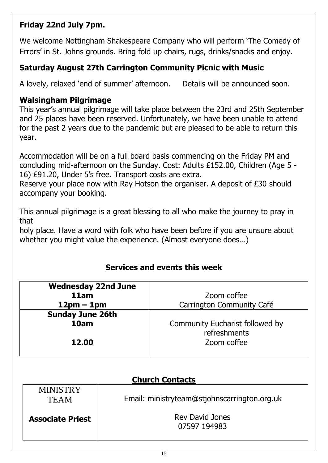# **Friday 22nd July 7pm.**

We welcome Nottingham Shakespeare Company who will perform 'The Comedy of Errors' in St. Johns grounds. Bring fold up chairs, rugs, drinks/snacks and enjoy.

# **Saturday August 27th Carrington Community Picnic with Music**

A lovely, relaxed 'end of summer' afternoon. Details will be announced soon.

# **Walsingham Pilgrimage**

This year's annual pilgrimage will take place between the 23rd and 25th September and 25 places have been reserved. Unfortunately, we have been unable to attend for the past 2 years due to the pandemic but are pleased to be able to return this year.

Accommodation will be on a full board basis commencing on the Friday PM and concluding mid-afternoon on the Sunday. Cost: Adults £152.00, Children (Age 5 - 16) £91.20, Under 5's free. Transport costs are extra.

Reserve your place now with Ray Hotson the organiser. A deposit of £30 should accompany your booking.

This annual pilgrimage is a great blessing to all who make the journey to pray in that

holy place. Have a word with folk who have been before if you are unsure about whether you might value the experience. (Almost everyone does…)

# **Services and events this week**

| <b>Wednesday 22nd June</b> |                                 |
|----------------------------|---------------------------------|
| 11am                       | Zoom coffee                     |
| $12pm - 1pm$               | Carrington Community Café       |
| <b>Sunday June 26th</b>    |                                 |
| 10am                       | Community Eucharist followed by |
|                            | refreshments                    |
| 12.00                      | Zoom coffee                     |
|                            |                                 |

| <b>Church Contacts</b>         |                                              |  |  |  |  |
|--------------------------------|----------------------------------------------|--|--|--|--|
| <b>MINISTRY</b><br><b>TEAM</b> | Email: ministryteam@stjohnscarrington.org.uk |  |  |  |  |
| <b>Associate Priest</b>        | <b>Rev David Jones</b><br>07597 194983       |  |  |  |  |